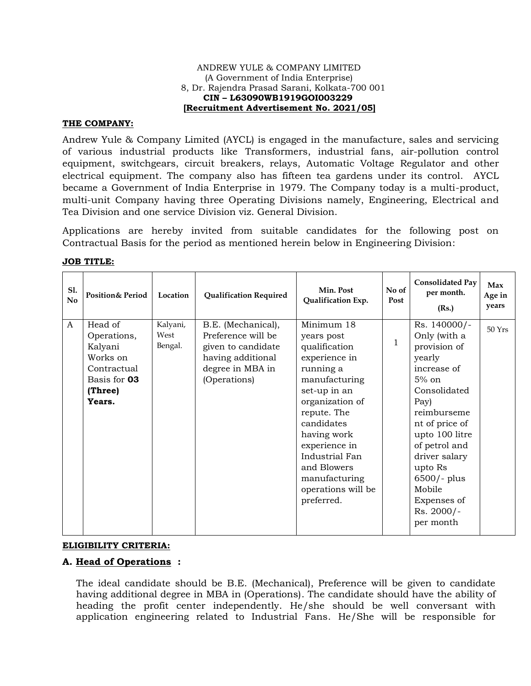### ANDREW YULE & COMPANY LIMITED (A Government of India Enterprise) 8, Dr. Rajendra Prasad Sarani, Kolkata-700 001  **CIN – L63090WB1919GOI003229 [Recruitment Advertisement No. 2021/05]**

## **THE COMPANY:**

Andrew Yule & Company Limited (AYCL) is engaged in the manufacture, sales and servicing of various industrial products like Transformers, industrial fans, air-pollution control equipment, switchgears, circuit breakers, relays, Automatic Voltage Regulator and other electrical equipment. The company also has fifteen tea gardens under its control. AYCL became a Government of India Enterprise in 1979. The Company today is a multi-product, multi-unit Company having three Operating Divisions namely, Engineering, Electrical and Tea Division and one service Division viz. General Division.

Applications are hereby invited from suitable candidates for the following post on Contractual Basis for the period as mentioned herein below in Engineering Division:

| <b>S1.</b><br>No | <b>Position&amp; Period</b>                                                                       | Location                    | <b>Qualification Required</b>                                                                                           | Min. Post<br>Qualification Exp.                                                                                                                                                                                                                                                | No of<br>Post | <b>Consolidated Pay</b><br>per month.<br>(Rs.)                                                                                                                                                                                                                                 | Max<br>Age in<br>years |
|------------------|---------------------------------------------------------------------------------------------------|-----------------------------|-------------------------------------------------------------------------------------------------------------------------|--------------------------------------------------------------------------------------------------------------------------------------------------------------------------------------------------------------------------------------------------------------------------------|---------------|--------------------------------------------------------------------------------------------------------------------------------------------------------------------------------------------------------------------------------------------------------------------------------|------------------------|
| $\mathsf{A}$     | Head of<br>Operations,<br>Kalyani<br>Works on<br>Contractual<br>Basis for 03<br>(Three)<br>Years. | Kalyani,<br>West<br>Bengal. | B.E. (Mechanical),<br>Preference will be<br>given to candidate<br>having additional<br>degree in MBA in<br>(Operations) | Minimum 18<br>years post<br>qualification<br>experience in<br>running a<br>manufacturing<br>set-up in an<br>organization of<br>repute. The<br>candidates<br>having work<br>experience in<br>Industrial Fan<br>and Blowers<br>manufacturing<br>operations will be<br>preferred. | 1             | Rs. 140000/-<br>Only (with a<br>provision of<br>yearly<br>increase of<br>$5%$ on<br>Consolidated<br>Pay)<br>reimburseme<br>nt of price of<br>upto 100 litre<br>of petrol and<br>driver salary<br>upto Rs<br>$6500$ /- plus<br>Mobile<br>Expenses of<br>Rs. 2000/-<br>per month | 50Yrs                  |

# **JOB TITLE:**

### **ELIGIBILITY CRITERIA:**

# **A. Head of Operations :**

The ideal candidate should be B.E. (Mechanical), Preference will be given to candidate having additional degree in MBA in (Operations). The candidate should have the ability of heading the profit center independently. He/she should be well conversant with application engineering related to Industrial Fans. He/She will be responsible for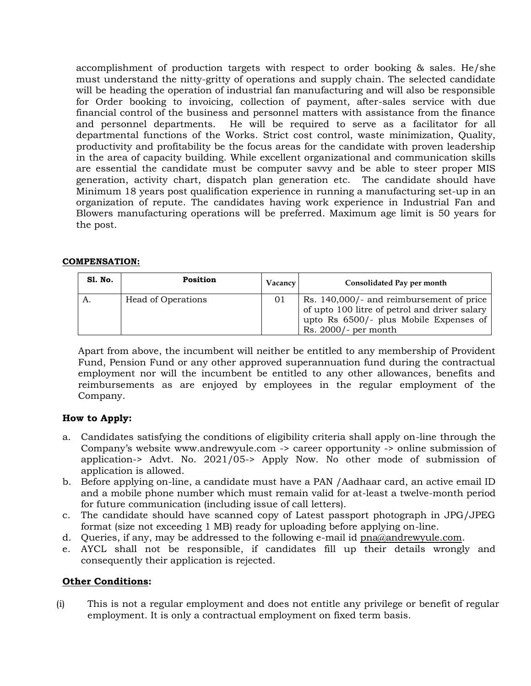accomplishment of production targets with respect to order booking & sales. He/she must understand the nitty-gritty of operations and supply chain. The selected candidate will be heading the operation of industrial fan manufacturing and will also be responsible for Order booking to invoicing, collection of payment, after-sales service with due financial control of the business and personnel matters with assistance from the finance and personnel departments. He will be required to serve as a facilitator for all departmental functions of the Works. Strict cost control, waste minimization, Quality, productivity and profitability be the focus areas for the candidate with proven leadership in the area of capacity building. While excellent organizational and communication skills are essential the candidate must be computer savvy and be able to steer proper MIS generation, activity chart, dispatch plan generation etc. The candidate should have Minimum 18 years post qualification experience in running a manufacturing set-up in an organization of repute. The candidates having work experience in Industrial Fan and Blowers manufacturing operations will be preferred. Maximum age limit is 50 years for the post.

# **COMPENSATION:**

| <b>S1. No.</b> | <b>Position</b>    | Vacancy | Consolidated Pay per month                                                                                                                                    |
|----------------|--------------------|---------|---------------------------------------------------------------------------------------------------------------------------------------------------------------|
|                | Head of Operations |         | Rs. 140,000/- and reimbursement of price<br>of upto 100 litre of petrol and driver salary<br>upto Rs 6500/- plus Mobile Expenses of<br>$Rs. 2000/-$ per month |

Apart from above, the incumbent will neither be entitled to any membership of Provident Fund, Pension Fund or any other approved superannuation fund during the contractual employment nor will the incumbent be entitled to any other allowances, benefits and reimbursements as are enjoyed by employees in the regular employment of the Company.

# **How to Apply:**

- a. Candidates satisfying the conditions of eligibility criteria shall apply on-line through the Company's website www.andrewyule.com -> career opportunity -> online submission of application-> Advt. No. 2021/05-> Apply Now. No other mode of submission of application is allowed.
- b. Before applying on-line, a candidate must have a PAN /Aadhaar card, an active email ID and a mobile phone number which must remain valid for at-least a twelve-month period for future communication (including issue of call letters).
- c. The candidate should have scanned copy of Latest passport photograph in JPG/JPEG format (size not exceeding 1 MB) ready for uploading before applying on-line.
- d. Queries, if any, may be addressed to the following e-mail id  $pna@andrewycle.com$ .
- e. AYCL shall not be responsible, if candidates fill up their details wrongly and consequently their application is rejected.

# **Other Conditions:**

(i) This is not a regular employment and does not entitle any privilege or benefit of regular employment. It is only a contractual employment on fixed term basis.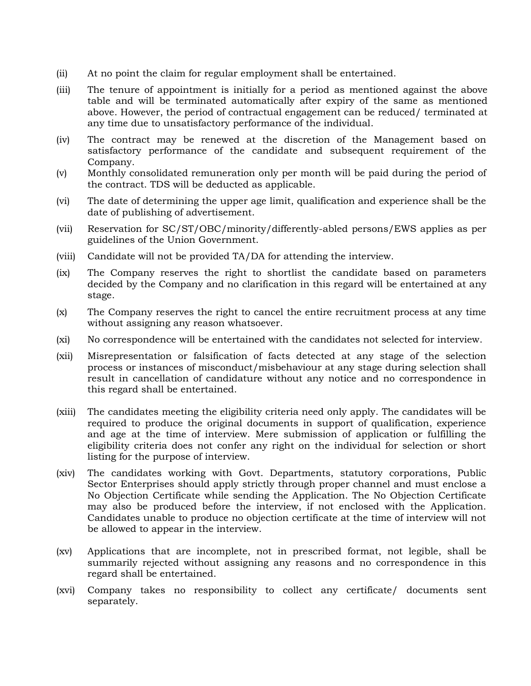- (ii) At no point the claim for regular employment shall be entertained.
- (iii) The tenure of appointment is initially for a period as mentioned against the above table and will be terminated automatically after expiry of the same as mentioned above. However, the period of contractual engagement can be reduced/ terminated at any time due to unsatisfactory performance of the individual.
- (iv) The contract may be renewed at the discretion of the Management based on satisfactory performance of the candidate and subsequent requirement of the Company.
- (v) Monthly consolidated remuneration only per month will be paid during the period of the contract. TDS will be deducted as applicable.
- (vi) The date of determining the upper age limit, qualification and experience shall be the date of publishing of advertisement.
- (vii) Reservation for SC/ST/OBC/minority/differently-abled persons/EWS applies as per guidelines of the Union Government.
- (viii) Candidate will not be provided TA/DA for attending the interview.
- (ix) The Company reserves the right to shortlist the candidate based on parameters decided by the Company and no clarification in this regard will be entertained at any stage.
- (x) The Company reserves the right to cancel the entire recruitment process at any time without assigning any reason whatsoever.
- (xi) No correspondence will be entertained with the candidates not selected for interview.
- (xii) Misrepresentation or falsification of facts detected at any stage of the selection process or instances of misconduct/misbehaviour at any stage during selection shall result in cancellation of candidature without any notice and no correspondence in this regard shall be entertained.
- (xiii) The candidates meeting the eligibility criteria need only apply. The candidates will be required to produce the original documents in support of qualification, experience and age at the time of interview. Mere submission of application or fulfilling the eligibility criteria does not confer any right on the individual for selection or short listing for the purpose of interview.
- (xiv) The candidates working with Govt. Departments, statutory corporations, Public Sector Enterprises should apply strictly through proper channel and must enclose a No Objection Certificate while sending the Application. The No Objection Certificate may also be produced before the interview, if not enclosed with the Application. Candidates unable to produce no objection certificate at the time of interview will not be allowed to appear in the interview.
- (xv) Applications that are incomplete, not in prescribed format, not legible, shall be summarily rejected without assigning any reasons and no correspondence in this regard shall be entertained.
- (xvi) Company takes no responsibility to collect any certificate/ documents sent separately.